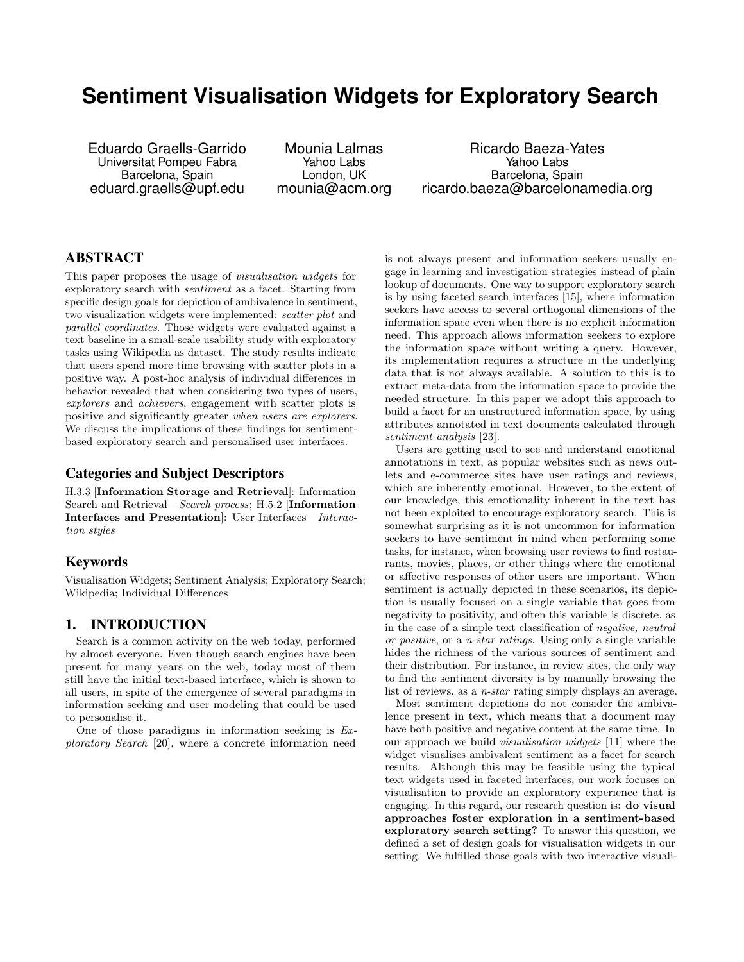# **Sentiment Visualisation Widgets for Exploratory Search**

Eduardo Graells-Garrido Universitat Pompeu Fabra Barcelona, Spain eduard.graells@upf.edu

Mounia Lalmas Yahoo Labs London, UK mounia@acm.org

Ricardo Baeza-Yates Yahoo Labs Barcelona, Spain ricardo.baeza@barcelonamedia.org

## ABSTRACT

This paper proposes the usage of visualisation widgets for exploratory search with sentiment as a facet. Starting from specific design goals for depiction of ambivalence in sentiment, two visualization widgets were implemented: scatter plot and parallel coordinates. Those widgets were evaluated against a text baseline in a small-scale usability study with exploratory tasks using Wikipedia as dataset. The study results indicate that users spend more time browsing with scatter plots in a positive way. A post-hoc analysis of individual differences in behavior revealed that when considering two types of users, explorers and achievers, engagement with scatter plots is positive and significantly greater when users are explorers. We discuss the implications of these findings for sentimentbased exploratory search and personalised user interfaces.

## Categories and Subject Descriptors

H.3.3 [Information Storage and Retrieval]: Information Search and Retrieval—Search process; H.5.2 [Information Interfaces and Presentation]: User Interfaces—Interaction styles

#### Keywords

Visualisation Widgets; Sentiment Analysis; Exploratory Search; Wikipedia; Individual Differences

#### 1. INTRODUCTION

Search is a common activity on the web today, performed by almost everyone. Even though search engines have been present for many years on the web, today most of them still have the initial text-based interface, which is shown to all users, in spite of the emergence of several paradigms in information seeking and user modeling that could be used to personalise it.

One of those paradigms in information seeking is Exploratory Search [20], where a concrete information need

is not always present and information seekers usually engage in learning and investigation strategies instead of plain lookup of documents. One way to support exploratory search is by using faceted search interfaces [15], where information seekers have access to several orthogonal dimensions of the information space even when there is no explicit information need. This approach allows information seekers to explore the information space without writing a query. However, its implementation requires a structure in the underlying data that is not always available. A solution to this is to extract meta-data from the information space to provide the needed structure. In this paper we adopt this approach to build a facet for an unstructured information space, by using attributes annotated in text documents calculated through sentiment analysis [23].

Users are getting used to see and understand emotional annotations in text, as popular websites such as news outlets and e-commerce sites have user ratings and reviews, which are inherently emotional. However, to the extent of our knowledge, this emotionality inherent in the text has not been exploited to encourage exploratory search. This is somewhat surprising as it is not uncommon for information seekers to have sentiment in mind when performing some tasks, for instance, when browsing user reviews to find restaurants, movies, places, or other things where the emotional or affective responses of other users are important. When sentiment is actually depicted in these scenarios, its depiction is usually focused on a single variable that goes from negativity to positivity, and often this variable is discrete, as in the case of a simple text classification of negative, neutral or positive, or a n-star ratings. Using only a single variable hides the richness of the various sources of sentiment and their distribution. For instance, in review sites, the only way to find the sentiment diversity is by manually browsing the list of reviews, as a *n-star* rating simply displays an average.

Most sentiment depictions do not consider the ambivalence present in text, which means that a document may have both positive and negative content at the same time. In our approach we build visualisation widgets [11] where the widget visualises ambivalent sentiment as a facet for search results. Although this may be feasible using the typical text widgets used in faceted interfaces, our work focuses on visualisation to provide an exploratory experience that is engaging. In this regard, our research question is: do visual approaches foster exploration in a sentiment-based exploratory search setting? To answer this question, we defined a set of design goals for visualisation widgets in our setting. We fulfilled those goals with two interactive visuali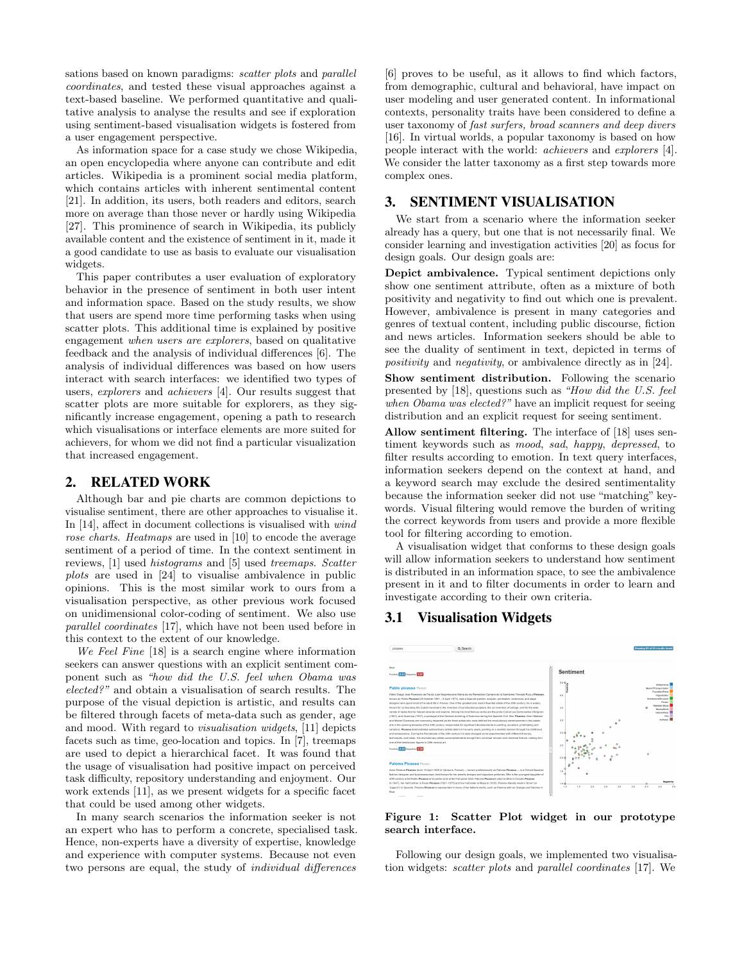sations based on known paradigms: scatter plots and parallel coordinates, and tested these visual approaches against a text-based baseline. We performed quantitative and qualitative analysis to analyse the results and see if exploration using sentiment-based visualisation widgets is fostered from a user engagement perspective.

As information space for a case study we chose Wikipedia, an open encyclopedia where anyone can contribute and edit articles. Wikipedia is a prominent social media platform, which contains articles with inherent sentimental content [21]. In addition, its users, both readers and editors, search more on average than those never or hardly using Wikipedia [27]. This prominence of search in Wikipedia, its publicly available content and the existence of sentiment in it, made it a good candidate to use as basis to evaluate our visualisation widgets.

This paper contributes a user evaluation of exploratory behavior in the presence of sentiment in both user intent and information space. Based on the study results, we show that users are spend more time performing tasks when using scatter plots. This additional time is explained by positive engagement when users are explorers, based on qualitative feedback and the analysis of individual differences [6]. The analysis of individual differences was based on how users interact with search interfaces: we identified two types of users, explorers and achievers [4]. Our results suggest that scatter plots are more suitable for explorers, as they significantly increase engagement, opening a path to research which visualisations or interface elements are more suited for achievers, for whom we did not find a particular visualization that increased engagement.

#### 2. RELATED WORK

Although bar and pie charts are common depictions to visualise sentiment, there are other approaches to visualise it. In [14], affect in document collections is visualised with wind rose charts. Heatmaps are used in [10] to encode the average sentiment of a period of time. In the context sentiment in reviews, [1] used histograms and [5] used treemaps. Scatter plots are used in [24] to visualise ambivalence in public opinions. This is the most similar work to ours from a visualisation perspective, as other previous work focused on unidimensional color-coding of sentiment. We also use parallel coordinates [17], which have not been used before in this context to the extent of our knowledge.

We Feel Fine [18] is a search engine where information seekers can answer questions with an explicit sentiment component such as "how did the U.S. feel when Obama was elected?" and obtain a visualisation of search results. The purpose of the visual depiction is artistic, and results can be filtered through facets of meta-data such as gender, age and mood. With regard to visualisation widgets, [11] depicts facets such as time, geo-location and topics. In [7], treemaps are used to depict a hierarchical facet. It was found that the usage of visualisation had positive impact on perceived task difficulty, repository understanding and enjoyment. Our work extends [11], as we present widgets for a specific facet that could be used among other widgets.

In many search scenarios the information seeker is not an expert who has to perform a concrete, specialised task. Hence, non-experts have a diversity of expertise, knowledge and experience with computer systems. Because not even two persons are equal, the study of individual differences

[6] proves to be useful, as it allows to find which factors, from demographic, cultural and behavioral, have impact on user modeling and user generated content. In informational contexts, personality traits have been considered to define a user taxonomy of fast surfers, broad scanners and deep divers [16]. In virtual worlds, a popular taxonomy is based on how people interact with the world: achievers and explorers [4]. We consider the latter taxonomy as a first step towards more complex ones.

#### 3. SENTIMENT VISUALISATION

We start from a scenario where the information seeker already has a query, but one that is not necessarily final. We consider learning and investigation activities [20] as focus for design goals. Our design goals are:

Depict ambivalence. Typical sentiment depictions only show one sentiment attribute, often as a mixture of both positivity and negativity to find out which one is prevalent. However, ambivalence is present in many categories and genres of textual content, including public discourse, fiction and news articles. Information seekers should be able to see the duality of sentiment in text, depicted in terms of positivity and negativity, or ambivalence directly as in [24].

Show sentiment distribution. Following the scenario presented by [18], questions such as "How did the U.S. feel when Obama was elected?" have an implicit request for seeing distribution and an explicit request for seeing sentiment.

Allow sentiment filtering. The interface of [18] uses sentiment keywords such as mood, sad, happy, depressed, to filter results according to emotion. In text query interfaces, information seekers depend on the context at hand, and a keyword search may exclude the desired sentimentality because the information seeker did not use "matching" keywords. Visual filtering would remove the burden of writing the correct keywords from users and provide a more flexible tool for filtering according to emotion.

A visualisation widget that conforms to these design goals will allow information seekers to understand how sentiment is distributed in an information space, to see the ambivalence present in it and to filter documents in order to learn and investigate according to their own criteria.

#### 3.1 Visualisation Widgets



Figure 1: Scatter Plot widget in our prototype search interface.

Following our design goals, we implemented two visualisation widgets: scatter plots and parallel coordinates [17]. We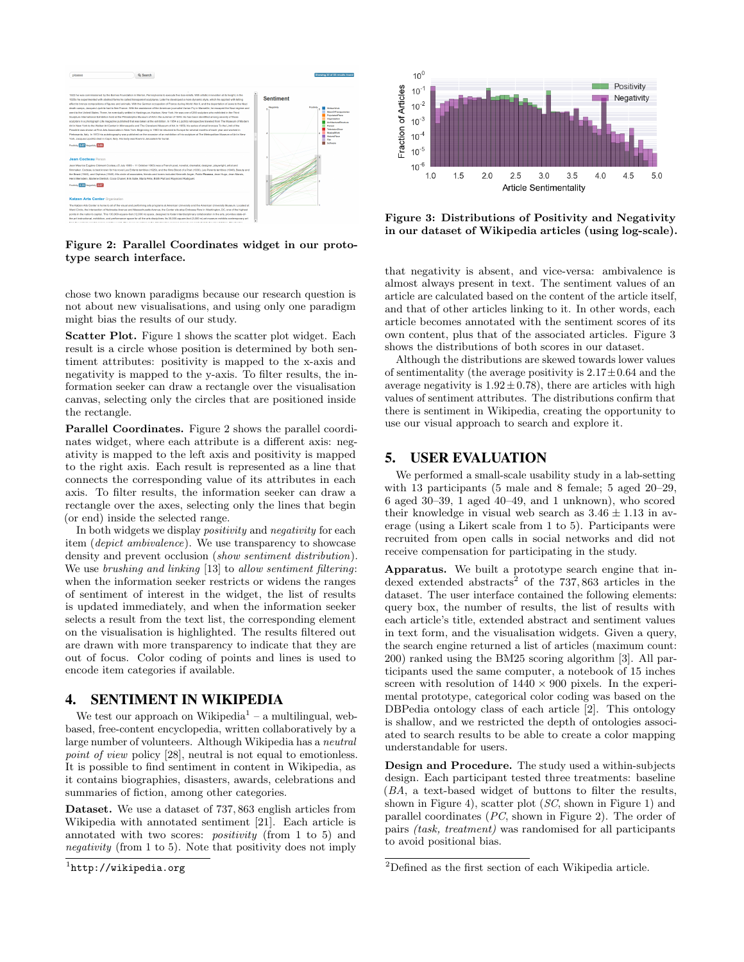

Figure 2: Parallel Coordinates widget in our prototype search interface.

chose two known paradigms because our research question is not about new visualisations, and using only one paradigm might bias the results of our study.

Scatter Plot. Figure 1 shows the scatter plot widget. Each result is a circle whose position is determined by both sentiment attributes: positivity is mapped to the x-axis and negativity is mapped to the y-axis. To filter results, the information seeker can draw a rectangle over the visualisation canvas, selecting only the circles that are positioned inside the rectangle.

Parallel Coordinates. Figure 2 shows the parallel coordinates widget, where each attribute is a different axis: negativity is mapped to the left axis and positivity is mapped to the right axis. Each result is represented as a line that connects the corresponding value of its attributes in each axis. To filter results, the information seeker can draw a rectangle over the axes, selecting only the lines that begin (or end) inside the selected range.

In both widgets we display *positivity* and *negativity* for each item (depict ambivalence). We use transparency to showcase density and prevent occlusion (show sentiment distribution). We use brushing and linking [13] to allow sentiment filtering: when the information seeker restricts or widens the ranges of sentiment of interest in the widget, the list of results is updated immediately, and when the information seeker selects a result from the text list, the corresponding element on the visualisation is highlighted. The results filtered out are drawn with more transparency to indicate that they are out of focus. Color coding of points and lines is used to encode item categories if available.

#### 4. SENTIMENT IN WIKIPEDIA

We test our approach on Wikipedia<sup>1</sup> – a multilingual, webbased, free-content encyclopedia, written collaboratively by a large number of volunteers. Although Wikipedia has a neutral point of view policy [28], neutral is not equal to emotionless. It is possible to find sentiment in content in Wikipedia, as it contains biographies, disasters, awards, celebrations and summaries of fiction, among other categories.

Dataset. We use a dataset of 737, 863 english articles from Wikipedia with annotated sentiment [21]. Each article is annotated with two scores: positivity (from 1 to 5) and negativity (from 1 to 5). Note that positivity does not imply



Figure 3: Distributions of Positivity and Negativity in our dataset of Wikipedia articles (using log-scale).

that negativity is absent, and vice-versa: ambivalence is almost always present in text. The sentiment values of an article are calculated based on the content of the article itself, and that of other articles linking to it. In other words, each article becomes annotated with the sentiment scores of its own content, plus that of the associated articles. Figure 3 shows the distributions of both scores in our dataset.

Although the distributions are skewed towards lower values of sentimentality (the average positivity is  $2.17 \pm 0.64$  and the average negativity is  $1.92 \pm 0.78$ , there are articles with high values of sentiment attributes. The distributions confirm that there is sentiment in Wikipedia, creating the opportunity to use our visual approach to search and explore it.

#### 5. USER EVALUATION

We performed a small-scale usability study in a lab-setting with 13 participants (5 male and 8 female; 5 aged 20–29, 6 aged 30–39, 1 aged 40–49, and 1 unknown), who scored their knowledge in visual web search as  $3.46 \pm 1.13$  in average (using a Likert scale from 1 to 5). Participants were recruited from open calls in social networks and did not receive compensation for participating in the study.

Apparatus. We built a prototype search engine that indexed extended abstracts<sup>2</sup> of the 737,863 articles in the dataset. The user interface contained the following elements: query box, the number of results, the list of results with each article's title, extended abstract and sentiment values in text form, and the visualisation widgets. Given a query, the search engine returned a list of articles (maximum count: 200) ranked using the BM25 scoring algorithm [3]. All participants used the same computer, a notebook of 15 inches screen with resolution of  $1440 \times 900$  pixels. In the experimental prototype, categorical color coding was based on the DBPedia ontology class of each article [2]. This ontology is shallow, and we restricted the depth of ontologies associated to search results to be able to create a color mapping understandable for users.

Design and Procedure. The study used a within-subjects design. Each participant tested three treatments: baseline (BA, a text-based widget of buttons to filter the results, shown in Figure 4), scatter plot (SC, shown in Figure 1) and parallel coordinates (PC, shown in Figure 2). The order of pairs (task, treatment) was randomised for all participants to avoid positional bias.

<sup>1</sup> http://wikipedia.org

 $^{2}$  Defined as the first section of each Wikipedia article.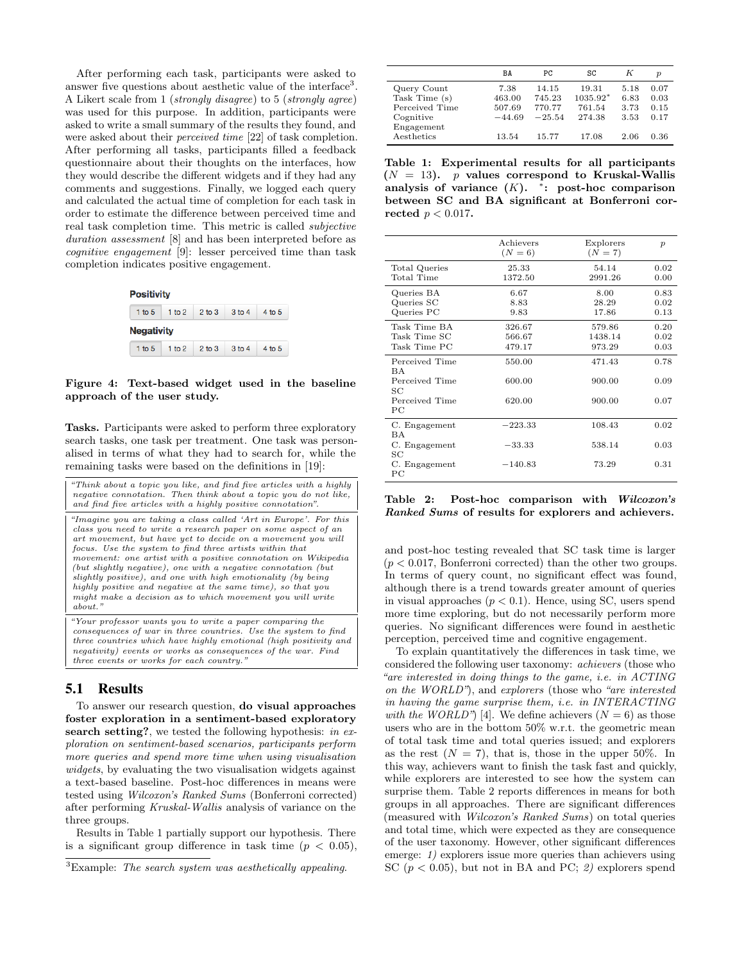After performing each task, participants were asked to answer five questions about aesthetic value of the interface<sup>3</sup>. A Likert scale from 1 (strongly disagree) to 5 (strongly agree) was used for this purpose. In addition, participants were asked to write a small summary of the results they found, and were asked about their perceived time [22] of task completion. After performing all tasks, participants filled a feedback questionnaire about their thoughts on the interfaces, how they would describe the different widgets and if they had any comments and suggestions. Finally, we logged each query and calculated the actual time of completion for each task in order to estimate the difference between perceived time and real task completion time. This metric is called subjective duration assessment [8] and has been interpreted before as cognitive engagement [9]: lesser perceived time than task completion indicates positive engagement.



#### Figure 4: Text-based widget used in the baseline approach of the user study.

Tasks. Participants were asked to perform three exploratory search tasks, one task per treatment. One task was personalised in terms of what they had to search for, while the remaining tasks were based on the definitions in [19]:

| "Think about a topic you like, and find five articles with a highly<br>negative connotation. Then think about a topic you do not like.<br>and find five articles with a highly positive connotation".                                                                                                                                                                                                                                                                                                                                                                                                 |
|-------------------------------------------------------------------------------------------------------------------------------------------------------------------------------------------------------------------------------------------------------------------------------------------------------------------------------------------------------------------------------------------------------------------------------------------------------------------------------------------------------------------------------------------------------------------------------------------------------|
| "Imagine you are taking a class called 'Art in Europe'. For this<br>class you need to write a research paper on some aspect of an<br>art movement, but have yet to decide on a movement you will<br>focus. Use the system to find three artists within that<br>movement: one artist with a positive connotation on Wikipedia<br>(but slightly negative), one with a negative connotation (but)<br>slightly positive), and one with high emotionality (by being<br>highly positive and negative at the same time), so that you<br>might make a decision as to which movement you will write<br>about." |
| "Your professor wants you to write a paper comparing the<br>and continuous of mode in these committees. Her the motions to Call                                                                                                                                                                                                                                                                                                                                                                                                                                                                       |

consequences of war in three counter to the system of  $\omega$ three countries which have highly emotional (high positivity and negativity) events or works as consequences of the war. Find three events or works for each country."

#### 5.1 Results

To answer our research question, do visual approaches foster exploration in a sentiment-based exploratory search setting?, we tested the following hypothesis: in exploration on sentiment-based scenarios, participants perform more queries and spend more time when using visualisation widgets, by evaluating the two visualisation widgets against a text-based baseline. Post-hoc differences in means were tested using Wilcoxon's Ranked Sums (Bonferroni corrected) after performing Kruskal-Wallis analysis of variance on the three groups.

Results in Table 1 partially support our hypothesis. There is a significant group difference in task time  $(p < 0.05)$ ,

|                | BA       | РC       | SC       | K    | $\boldsymbol{p}$ |
|----------------|----------|----------|----------|------|------------------|
| Query Count    | 7.38     | 14.15    | 19.31    | 5.18 | 0.07             |
| Task Time (s)  | 463.00   | 745.23   | 1035.92* | 6.83 | 0.03             |
| Perceived Time | 507.69   | 770.77   | 761.54   | 3.73 | 0.15             |
| Cognitive      | $-44.69$ | $-25.54$ | 274.38   | 3.53 | 0.17             |
| Engagement     |          |          |          |      |                  |
| Aesthetics     | 13.54    | 15.77    | 17.08    | 2.06 | 0.36             |

Table 1: Experimental results for all participants  $(N = 13)$ . *p* values correspond to Kruskal-Wallis analysis of variance  $(K)$ . \*: post-hoc comparison between SC and BA significant at Bonferroni corrected  $p < 0.017$ .

|                                                                      | Achievers<br>$(N = 6)$     | Explorers<br>$(N = 7)$      | $\boldsymbol{p}$     |
|----------------------------------------------------------------------|----------------------------|-----------------------------|----------------------|
| Total Queries<br>Total Time                                          | 25.33<br>1372.50           | 54.14<br>2991.26            | 0.02<br>0.00         |
| Queries BA<br>Queries SC<br>Queries PC                               | 6.67<br>8.83<br>9.83       | 8.00<br>28.29<br>17.86      | 0.83<br>0.02<br>0.13 |
| Task Time BA<br>Task Time SC<br>Task Time PC                         | 326.67<br>566.67<br>479.17 | 579.86<br>1438.14<br>973.29 | 0.20<br>0.02<br>0.03 |
| Perceived Time<br>BA<br>Perceived Time<br>SС<br>Perceived Time<br>PС | 550.00<br>600.00<br>620.00 | 471.43<br>900.00<br>900.00  | 0.78<br>0.09<br>0.07 |
| C. Engagement<br><b>BA</b><br>C. Engagement<br>SC                    | $-223.33$<br>$-33.33$      | 108.43<br>538.14            | 0.02<br>0.03         |
| C. Engagement<br>PС                                                  | $-140.83$                  | 73.29                       | 0.31                 |

Table 2: Post-hoc comparison with Wilcoxon's Ranked Sums of results for explorers and achievers.

and post-hoc testing revealed that SC task time is larger  $(p < 0.017,$  Bonferroni corrected) than the other two groups. In terms of query count, no significant effect was found, although there is a trend towards greater amount of queries in visual approaches  $(p < 0.1)$ . Hence, using SC, users spend more time exploring, but do not necessarily perform more queries. No significant differences were found in aesthetic perception, perceived time and cognitive engagement.

To explain quantitatively the differences in task time, we considered the following user taxonomy: achievers (those who "are interested in doing things to the game, i.e. in ACTING on the WORLD"), and explorers (those who "are interested in having the game surprise them, i.e. in INTERACTING with the WORLD") [4]. We define achievers  $(N = 6)$  as those users who are in the bottom 50% w.r.t. the geometric mean of total task time and total queries issued; and explorers as the rest  $(N = 7)$ , that is, those in the upper 50%. In this way, achievers want to finish the task fast and quickly, while explorers are interested to see how the system can surprise them. Table 2 reports differences in means for both groups in all approaches. There are significant differences (measured with Wilcoxon's Ranked Sums) on total queries and total time, which were expected as they are consequence of the user taxonomy. However, other significant differences emerge: 1) explorers issue more queries than achievers using SC ( $p < 0.05$ ), but not in BA and PC; 2) explorers spend

 ${}^{3}$ Example: The search system was aesthetically appealing.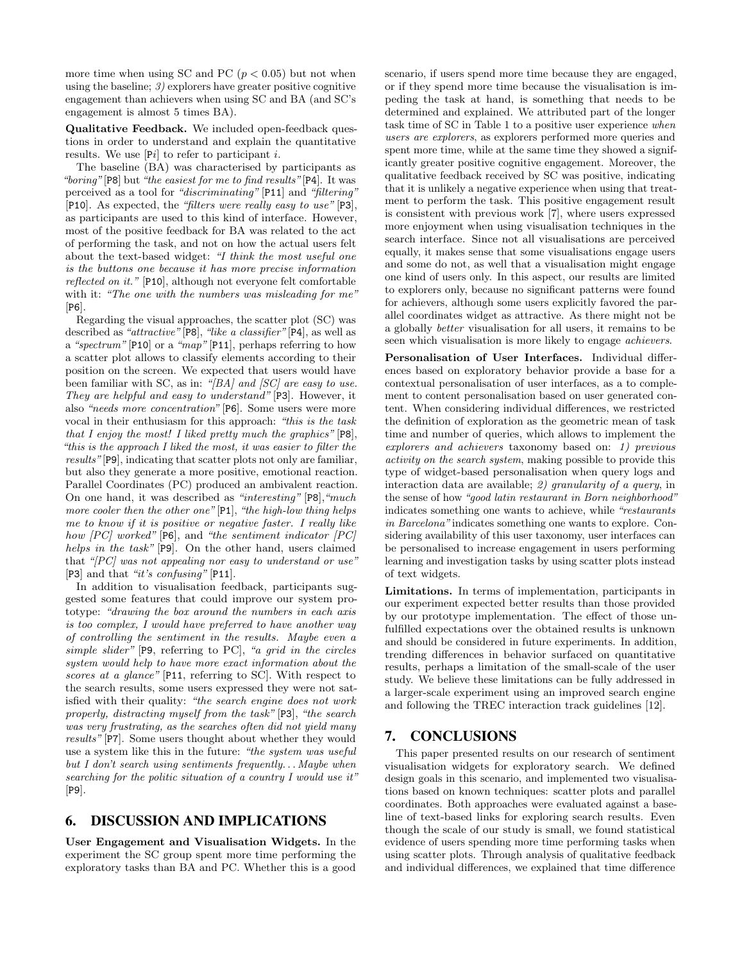more time when using SC and PC  $(p < 0.05)$  but not when using the baseline;  $\beta$  explorers have greater positive cognitive engagement than achievers when using SC and BA (and SC's engagement is almost 5 times BA).

Qualitative Feedback. We included open-feedback questions in order to understand and explain the quantitative results. We use  $[Pi]$  to refer to participant *i*.

The baseline (BA) was characterised by participants as "boring" [P8] but "the easiest for me to find results" [P4]. It was perceived as a tool for "discriminating" [P11] and "filtering" [P10]. As expected, the "filters were really easy to use" [P3], as participants are used to this kind of interface. However, most of the positive feedback for BA was related to the act of performing the task, and not on how the actual users felt about the text-based widget: "I think the most useful one is the buttons one because it has more precise information reflected on it." [P10], although not everyone felt comfortable with it: "The one with the numbers was misleading for me" [P6].

Regarding the visual approaches, the scatter plot (SC) was described as "attractive" [P8], "like a classifier" [P4], as well as a "spectrum" [P10] or a "map" [P11], perhaps referring to how a scatter plot allows to classify elements according to their position on the screen. We expected that users would have been familiar with SC, as in: " $|BA|$  and  $|SC|$  are easy to use. They are helpful and easy to understand" [P3]. However, it also "needs more concentration" [P6]. Some users were more vocal in their enthusiasm for this approach: "this is the task that I enjoy the most! I liked pretty much the graphics"  $[P8]$ , "this is the approach I liked the most, it was easier to filter the results"[P9], indicating that scatter plots not only are familiar, but also they generate a more positive, emotional reaction. Parallel Coordinates (PC) produced an ambivalent reaction. On one hand, it was described as "interesting" [P8],"much more cooler then the other one" [P1], "the high-low thing helps me to know if it is positive or negative faster. I really like how  $[PC]$  worked"  $[PG]$ , and "the sentiment indicator  $[PC]$ helps in the task" [P9]. On the other hand, users claimed that " $[PC]$  was not appealing nor easy to understand or use" [P3] and that "it's confusing" [P11].

In addition to visualisation feedback, participants suggested some features that could improve our system prototype: "drawing the box around the numbers in each axis is too complex, I would have preferred to have another way of controlling the sentiment in the results. Maybe even a simple slider" [P9, referring to PC], "a grid in the circles system would help to have more exact information about the scores at a glance" [P11, referring to SC]. With respect to the search results, some users expressed they were not satisfied with their quality: "the search engine does not work properly, distracting myself from the task" [P3], "the search was very frustrating, as the searches often did not yield many results" [P7]. Some users thought about whether they would use a system like this in the future: "the system was useful but I don't search using sentiments frequently. . . Maybe when searching for the politic situation of a country I would use it" [P9].

## 6. DISCUSSION AND IMPLICATIONS

User Engagement and Visualisation Widgets. In the experiment the SC group spent more time performing the exploratory tasks than BA and PC. Whether this is a good scenario, if users spend more time because they are engaged, or if they spend more time because the visualisation is impeding the task at hand, is something that needs to be determined and explained. We attributed part of the longer task time of SC in Table 1 to a positive user experience when users are explorers, as explorers performed more queries and spent more time, while at the same time they showed a significantly greater positive cognitive engagement. Moreover, the qualitative feedback received by SC was positive, indicating that it is unlikely a negative experience when using that treatment to perform the task. This positive engagement result is consistent with previous work [7], where users expressed more enjoyment when using visualisation techniques in the search interface. Since not all visualisations are perceived equally, it makes sense that some visualisations engage users and some do not, as well that a visualisation might engage one kind of users only. In this aspect, our results are limited to explorers only, because no significant patterns were found for achievers, although some users explicitly favored the parallel coordinates widget as attractive. As there might not be a globally better visualisation for all users, it remains to be seen which visualisation is more likely to engage achievers.

Personalisation of User Interfaces. Individual differences based on exploratory behavior provide a base for a contextual personalisation of user interfaces, as a to complement to content personalisation based on user generated content. When considering individual differences, we restricted the definition of exploration as the geometric mean of task time and number of queries, which allows to implement the explorers and achievers taxonomy based on: 1) previous activity on the search system, making possible to provide this type of widget-based personalisation when query logs and interaction data are available; 2) granularity of a query, in the sense of how "good latin restaurant in Born neighborhood" indicates something one wants to achieve, while "restaurants in Barcelona" indicates something one wants to explore. Considering availability of this user taxonomy, user interfaces can be personalised to increase engagement in users performing learning and investigation tasks by using scatter plots instead of text widgets.

Limitations. In terms of implementation, participants in our experiment expected better results than those provided by our prototype implementation. The effect of those unfulfilled expectations over the obtained results is unknown and should be considered in future experiments. In addition, trending differences in behavior surfaced on quantitative results, perhaps a limitation of the small-scale of the user study. We believe these limitations can be fully addressed in a larger-scale experiment using an improved search engine and following the TREC interaction track guidelines [12].

## 7. CONCLUSIONS

This paper presented results on our research of sentiment visualisation widgets for exploratory search. We defined design goals in this scenario, and implemented two visualisations based on known techniques: scatter plots and parallel coordinates. Both approaches were evaluated against a baseline of text-based links for exploring search results. Even though the scale of our study is small, we found statistical evidence of users spending more time performing tasks when using scatter plots. Through analysis of qualitative feedback and individual differences, we explained that time difference